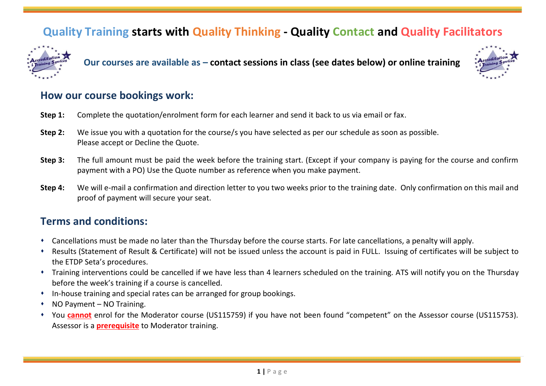# **Quality Training starts with Quality Thinking - Quality Contact and Quality Facilitators**



**Our courses are available as – contact sessions in class (see dates below) or online training**



## **How our course bookings work:**

- **Step 1:** Complete the quotation/enrolment form for each learner and send it back to us via email or fax.
- **Step 2:** We issue you with a quotation for the course/s you have selected as per our schedule as soon as possible. Please accept or Decline the Quote.
- **Step 3:** The full amount must be paid the week before the training start. (Except if your company is paying for the course and confirm payment with a PO) Use the Quote number as reference when you make payment.
- **Step 4:** We will e-mail a confirmation and direction letter to you two weeks prior to the training date. Only confirmation on this mail and proof of payment will secure your seat.

## **Terms and conditions:**

- ⬧ Cancellations must be made no later than the Thursday before the course starts. For late cancellations, a penalty will apply.
- ⬧ Results (Statement of Result & Certificate) will not be issued unless the account is paid in FULL. Issuing of certificates will be subject to the ETDP Seta's procedures.
- ⬧ Training interventions could be cancelled if we have less than 4 learners scheduled on the training. ATS will notify you on the Thursday before the week's training if a course is cancelled.
- ⬧ In-house training and special rates can be arranged for group bookings.
- NO Payment NO Training.
- ⬧ You **cannot** enrol for the Moderator course (US115759) if you have not been found "competent" on the Assessor course (US115753). Assessor is a **prerequisite** to Moderator training.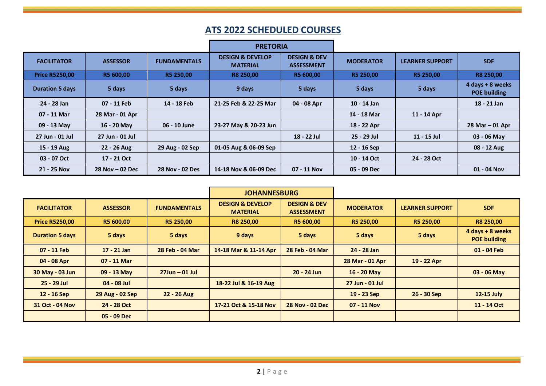# **ATS 2022 SCHEDULED COURSES**

|                        |                     |                     | <b>PRETORIA</b>                                |                                              |                  |                        |                                         |
|------------------------|---------------------|---------------------|------------------------------------------------|----------------------------------------------|------------------|------------------------|-----------------------------------------|
| <b>FACILITATOR</b>     | <b>ASSESSOR</b>     | <b>FUNDAMENTALS</b> | <b>DESIGN &amp; DEVELOP</b><br><b>MATERIAL</b> | <b>DESIGN &amp; DEV</b><br><b>ASSESSMENT</b> | <b>MODERATOR</b> | <b>LEARNER SUPPORT</b> | <b>SDF</b>                              |
| <b>Price R5250,00</b>  | R5 600,00           | R5 250,00           | R8 250,00                                      | R5 600,00                                    | R5 250,00        | R5 250,00              | <b>R8 250,00</b>                        |
| <b>Duration 5 days</b> | 5 days              | 5 days              | 9 days                                         | 5 days                                       | 5 days           | 5 days                 | 4 days + 8 weeks<br><b>POE building</b> |
| 24 - 28 Jan            | 07 - 11 Feb         | 14 - 18 Feb         | 21-25 Feb & 22-25 Mar                          | 04 - 08 Apr                                  | 10 - 14 Jan      |                        | 18 - 21 Jan                             |
| 07 - 11 Mar            | 28 Mar - 01 Apr     |                     |                                                |                                              | 14 - 18 Mar      | 11 - 14 Apr            |                                         |
| 09 - 13 May            | 16 - 20 May         | 06 - 10 June        | 23-27 May & 20-23 Jun                          |                                              | 18 - 22 Apr      |                        | $28$ Mar $-01$ Apr                      |
| 27 Jun - 01 Jul        | 27 Jun - 01 Jul     |                     |                                                | 18 - 22 Jul                                  | 25 - 29 Jul      | 11 - 15 Jul            | 03 - 06 May                             |
| 15 - 19 Aug            | 22 - 26 Aug         | 29 Aug - 02 Sep     | 01-05 Aug & 06-09 Sep                          |                                              | 12 - 16 Sep      |                        | 08 - 12 Aug                             |
| 03 - 07 Oct            | 17 - 21 Oct         |                     |                                                |                                              | 10 - 14 Oct      | 24 - 28 Oct            |                                         |
| 21 - 25 Nov            | $28$ Nov $-$ 02 Dec | 28 Nov - 02 Des     | 14-18 Nov & 06-09 Dec                          | 07 - 11 Nov                                  | 05 - 09 Dec      |                        | 01 - 04 Nov                             |

|                        |                 | <b>JOHANNESBURG</b> |                                                |                                              |                  |                        |                                         |
|------------------------|-----------------|---------------------|------------------------------------------------|----------------------------------------------|------------------|------------------------|-----------------------------------------|
| <b>FACILITATOR</b>     | <b>ASSESSOR</b> | <b>FUNDAMENTALS</b> | <b>DESIGN &amp; DEVELOP</b><br><b>MATERIAL</b> | <b>DESIGN &amp; DEV</b><br><b>ASSESSMENT</b> | <b>MODERATOR</b> | <b>LEARNER SUPPORT</b> | <b>SDF</b>                              |
| <b>Price R5250,00</b>  | R5 600,00       | R5 250,00           | R8 250,00                                      | R5 600,00                                    | R5 250,00        | R5 250,00              | R8 250,00                               |
| <b>Duration 5 days</b> | 5 days          | 5 days              | 9 days                                         | 5 days                                       | 5 days           | 5 days                 | 4 days + 8 weeks<br><b>POE building</b> |
| 07 - 11 Feb            | $17 - 21$ Jan   | 28 Feb - 04 Mar     | 14-18 Mar & 11-14 Apr                          | 28 Feb - 04 Mar                              | 24 - 28 Jan      |                        | 01 - 04 Feb                             |
| 04 - 08 Apr            | 07 - 11 Mar     |                     |                                                |                                              | 28 Mar - 01 Apr  | 19 - 22 Apr            |                                         |
| 30 May - 03 Jun        | 09 - 13 May     | $27$ Jun $-01$ Jul  |                                                | $20 - 24$ Jun                                | $16 - 20$ May    |                        | 03 - 06 May                             |
| $25 - 29$ Jul          | $04 - 08$ Jul   |                     | 18-22 Jul & 16-19 Aug                          |                                              | 27 Jun - 01 Jul  |                        |                                         |
| 12 - 16 Sep            | 29 Aug - 02 Sep | 22 - 26 Aug         |                                                |                                              | 19 - 23 Sep      | 26 - 30 Sep            | 12-15 July                              |
| 31 Oct - 04 Nov        | 24 - 28 Oct     |                     | 17-21 Oct & 15-18 Nov                          | <b>28 Nov - 02 Dec</b>                       | 07 - 11 Nov      |                        | 11 - 14 Oct                             |
|                        | 05 - 09 Dec     |                     |                                                |                                              |                  |                        |                                         |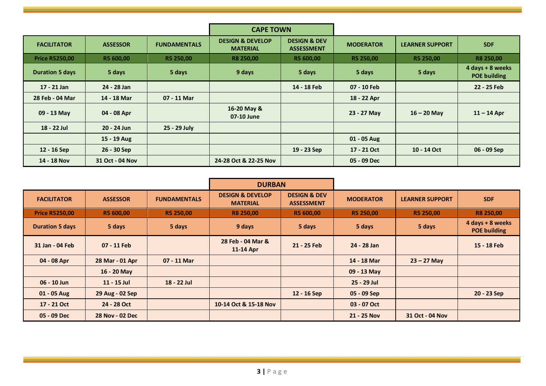|                        |                 |                     | <b>CAPE TOWN</b>                               |                                              |                  |                        |                                         |
|------------------------|-----------------|---------------------|------------------------------------------------|----------------------------------------------|------------------|------------------------|-----------------------------------------|
| <b>FACILITATOR</b>     | <b>ASSESSOR</b> | <b>FUNDAMENTALS</b> | <b>DESIGN &amp; DEVELOP</b><br><b>MATERIAL</b> | <b>DESIGN &amp; DEV</b><br><b>ASSESSMENT</b> | <b>MODERATOR</b> | <b>LEARNER SUPPORT</b> | <b>SDF</b>                              |
| <b>Price R5250,00</b>  | R5 600,00       | R5 250,00           | R8 250,00                                      | R5 600,00                                    | R5 250,00        | R5 250,00              | <b>R8 250,00</b>                        |
| <b>Duration 5 days</b> | 5 days          | 5 days              | 9 days                                         | 5 days                                       | 5 days           | 5 days                 | 4 days + 8 weeks<br><b>POE building</b> |
| 17 - 21 Jan            | 24 - 28 Jan     |                     |                                                | 14 - 18 Feb                                  | 07 - 10 Feb      |                        | 22 - 25 Feb                             |
| 28 Feb - 04 Mar        | 14 - 18 Mar     | 07 - 11 Mar         |                                                |                                              | 18 - 22 Apr      |                        |                                         |
| 09 - 13 May            | 04 - 08 Apr     |                     | 16-20 May &<br>07-10 June                      |                                              | 23 - 27 May      | $16 - 20$ May          | $11 - 14$ Apr                           |
| 18 - 22 Jul            | 20 - 24 Jun     | 25 - 29 July        |                                                |                                              |                  |                        |                                         |
|                        | 15 - 19 Aug     |                     |                                                |                                              | 01 - 05 Aug      |                        |                                         |
| 12 - 16 Sep            | 26 - 30 Sep     |                     |                                                | 19 - 23 Sep                                  | 17 - 21 Oct      | 10 - 14 Oct            | 06 - 09 Sep                             |
| 14 - 18 Nov            | 31 Oct - 04 Nov |                     | 24-28 Oct & 22-25 Nov                          |                                              | 05 - 09 Dec      |                        |                                         |

|                        |                 |                     | <b>DURBAN</b>                                  |                                              |                  |                        |                                         |
|------------------------|-----------------|---------------------|------------------------------------------------|----------------------------------------------|------------------|------------------------|-----------------------------------------|
| <b>FACILITATOR</b>     | <b>ASSESSOR</b> | <b>FUNDAMENTALS</b> | <b>DESIGN &amp; DEVELOP</b><br><b>MATERIAL</b> | <b>DESIGN &amp; DEV</b><br><b>ASSESSMENT</b> | <b>MODERATOR</b> | <b>LEARNER SUPPORT</b> | <b>SDF</b>                              |
| <b>Price R5250,00</b>  | R5 600,00       | R5 250,00           | R8 250,00                                      | R5 600,00                                    | R5 250,00        | R5 250,00              | <b>R8 250,00</b>                        |
| <b>Duration 5 days</b> | 5 days          | 5 days              | 9 days                                         | 5 days                                       | 5 days           | 5 days                 | 4 days + 8 weeks<br><b>POE building</b> |
| 31 Jan - 04 Feb        | 07 - 11 Feb     |                     | 28 Feb - 04 Mar &<br>11-14 Apr                 | 21 - 25 Feb                                  | 24 - 28 Jan      |                        | 15 - 18 Feb                             |
| 04 - 08 Apr            | 28 Mar - 01 Apr | 07 - 11 Mar         |                                                |                                              | 14 - 18 Mar      | $23 - 27$ May          |                                         |
|                        | 16 - 20 May     |                     |                                                |                                              | 09 - 13 May      |                        |                                         |
| 06 - 10 Jun            | 11 - 15 Jul     | 18 - 22 Jul         |                                                |                                              | 25 - 29 Jul      |                        |                                         |
| 01 - 05 Aug            | 29 Aug - 02 Sep |                     |                                                | 12 - 16 Sep                                  | 05 - 09 Sep      |                        | 20 - 23 Sep                             |
| 17 - 21 Oct            | 24 - 28 Oct     |                     | 10-14 Oct & 15-18 Nov                          |                                              | 03 - 07 Oct      |                        |                                         |
| 05 - 09 Dec            | 28 Nov - 02 Dec |                     |                                                |                                              | 21 - 25 Nov      | 31 Oct - 04 Nov        |                                         |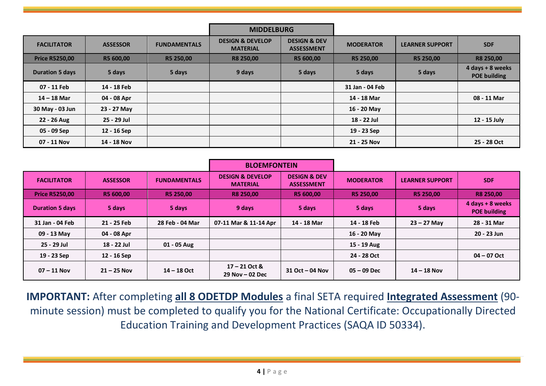|                        |                 |                     | <b>MIDDELBURG</b>                              |                                              |                  |                        |                                         |
|------------------------|-----------------|---------------------|------------------------------------------------|----------------------------------------------|------------------|------------------------|-----------------------------------------|
| <b>FACILITATOR</b>     | <b>ASSESSOR</b> | <b>FUNDAMENTALS</b> | <b>DESIGN &amp; DEVELOP</b><br><b>MATERIAL</b> | <b>DESIGN &amp; DEV</b><br><b>ASSESSMENT</b> | <b>MODERATOR</b> | <b>LEARNER SUPPORT</b> | <b>SDF</b>                              |
| <b>Price R5250,00</b>  | R5 600,00       | R5 250,00           | R8 250,00                                      | R5 600,00                                    | R5 250,00        | R5 250,00              | <b>R8 250,00</b>                        |
| <b>Duration 5 days</b> | 5 days          | 5 days              | 9 days                                         | 5 days                                       | 5 days           | 5 days                 | 4 days + 8 weeks<br><b>POE building</b> |
| 07 - 11 Feb            | 14 - 18 Feb     |                     |                                                |                                              | 31 Jan - 04 Feb  |                        |                                         |
| $14 - 18$ Mar          | 04 - 08 Apr     |                     |                                                |                                              | 14 - 18 Mar      |                        | 08 - 11 Mar                             |
| 30 May - 03 Jun        | 23 - 27 May     |                     |                                                |                                              | 16 - 20 May      |                        |                                         |
| 22 - 26 Aug            | 25 - 29 Jul     |                     |                                                |                                              | 18 - 22 Jul      |                        | 12 - 15 July                            |
| 05 - 09 Sep            | 12 - 16 Sep     |                     |                                                |                                              | 19 - 23 Sep      |                        |                                         |
| 07 - 11 Nov            | 14 - 18 Nov     |                     |                                                |                                              | 21 - 25 Nov      |                        | 25 - 28 Oct                             |

|                        |                 |                     | <b>BLOEMFONTEIN</b>                            |                                              |                  |                        |                                         |
|------------------------|-----------------|---------------------|------------------------------------------------|----------------------------------------------|------------------|------------------------|-----------------------------------------|
| <b>FACILITATOR</b>     | <b>ASSESSOR</b> | <b>FUNDAMENTALS</b> | <b>DESIGN &amp; DEVELOP</b><br><b>MATERIAL</b> | <b>DESIGN &amp; DEV</b><br><b>ASSESSMENT</b> | <b>MODERATOR</b> | <b>LEARNER SUPPORT</b> | <b>SDF</b>                              |
| <b>Price R5250,00</b>  | R5 600,00       | R5 250,00           | <b>R8 250,00</b>                               | R5 600.00                                    | R5 250,00        | R5 250,00              | <b>R8 250,00</b>                        |
| <b>Duration 5 days</b> | 5 days          | 5 days              | 9 days                                         | 5 days                                       | 5 days           | 5 days                 | 4 days + 8 weeks<br><b>POE building</b> |
| 31 Jan - 04 Feb        | 21 - 25 Feb     | 28 Feb - 04 Mar     | 07-11 Mar & 11-14 Apr                          | 14 - 18 Mar                                  | 14 - 18 Feb      | $23 - 27$ May          | 28 - 31 Mar                             |
| 09 - 13 May            | 04 - 08 Apr     |                     |                                                |                                              | 16 - 20 May      |                        | 20 - 23 Jun                             |
| 25 - 29 Jul            | 18 - 22 Jul     | 01 - 05 Aug         |                                                |                                              | 15 - 19 Aug      |                        |                                         |
| 19 - 23 Sep            | 12 - 16 Sep     |                     |                                                |                                              | 24 - 28 Oct      |                        | $04 - 07$ Oct                           |
| $07 - 11$ Nov          | $21 - 25$ Nov   | $14 - 18$ Oct       | $17 - 21$ Oct &<br>$29$ Nov $-$ 02 Dec         | $31$ Oct $-$ 04 Nov                          | $05 - 09$ Dec    | $14 - 18$ Nov          |                                         |

**IMPORTANT:** After completing **all 8 ODETDP Modules** a final SETA required **Integrated Assessment** (90 minute session) must be completed to qualify you for the National Certificate: Occupationally Directed Education Training and Development Practices (SAQA ID 50334).